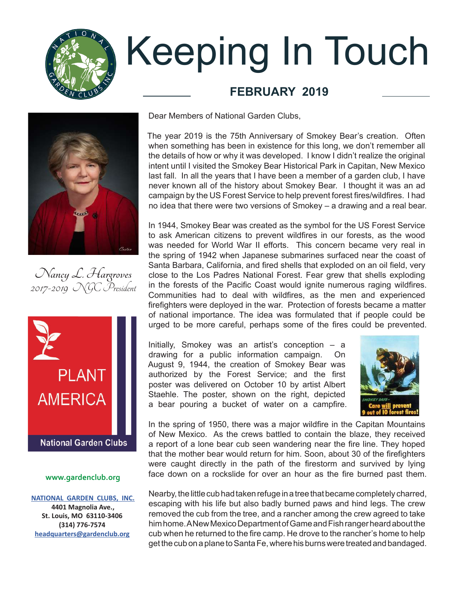

### Keeping In Touch

### **FEBRUARY 2019**







### **www.gardenclub.org**

**N[ATIONAL GARDEN CLUBS, INC.](http://www.gardenclub.org) 4401 Magnolia Ave., St. Louis, MO 63110-3406 (314) 776-7574 [headquarters@gardenclub.org](mailto:headquarters%40gardenclub.org%20?subject=)**

Dear Members of National Garden Clubs,

The year 2019 is the 75th Anniversary of Smokey Bear's creation. Often when something has been in existence for this long, we don't remember all the details of how or why it was developed. I know I didn't realize the original intent until I visited the Smokey Bear Historical Park in Capitan, New Mexico last fall. In all the years that I have been a member of a garden club, I have never known all of the history about Smokey Bear. I thought it was an ad campaign by the US Forest Service to help prevent forest fires/wildfires. I had no idea that there were two versions of Smokey – a drawing and a real bear.

In 1944, Smokey Bear was created as the symbol for the US Forest Service to ask American citizens to prevent wildfires in our forests, as the wood was needed for World War II efforts. This concern became very real in the spring of 1942 when Japanese submarines surfaced near the coast of Santa Barbara, California, and fired shells that exploded on an oil field, very close to the Los Padres National Forest. Fear grew that shells exploding in the forests of the Pacific Coast would ignite numerous raging wildfires. Communities had to deal with wildfires, as the men and experienced firefighters were deployed in the war. Protection of forests became a matter of national importance. The idea was formulated that if people could be urged to be more careful, perhaps some of the fires could be prevented.

Initially, Smokey was an artist's conception – a drawing for a public information campaign. On August 9, 1944, the creation of Smokey Bear was authorized by the Forest Service; and the first poster was delivered on October 10 by artist Albert Staehle. The poster, shown on the right, depicted a bear pouring a bucket of water on a campfire.



In the spring of 1950, there was a major wildfire in the Capitan Mountains of New Mexico. As the crews battled to contain the blaze, they received a report of a lone bear cub seen wandering near the fire line. They hoped that the mother bear would return for him. Soon, about 30 of the firefighters were caught directly in the path of the firestorm and survived by lying face down on a rockslide for over an hour as the fire burned past them.

Nearby, the little cub had taken refuge in a tree that became completely charred, escaping with his life but also badly burned paws and hind legs. The crew removed the cub from the tree, and a rancher among the crew agreed to take him home. A New Mexico Department of Game and Fish ranger heard about the cub when he returned to the fire camp. He drove to the rancher's home to help get the cub on a plane to Santa Fe, where his burns were treated and bandaged.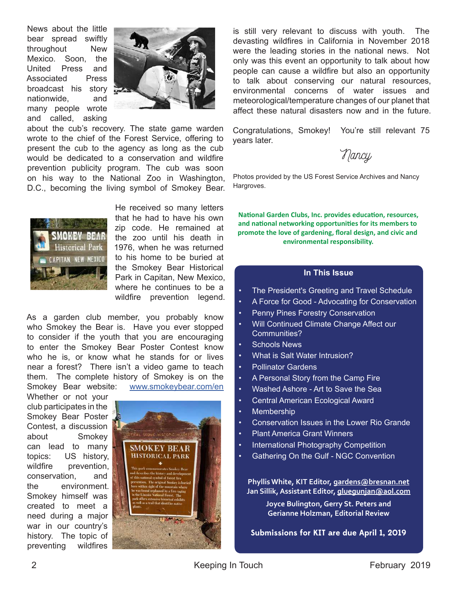News about the little bear spread swiftly throughout New Mexico. Soon, the United Press and Associated Press broadcast his story nationwide, and many people wrote and called, asking



about the cub's recovery. The state game warden wrote to the chief of the Forest Service, offering to present the cub to the agency as long as the cub would be dedicated to a conservation and wildfire prevention publicity program. The cub was soon on his way to the National Zoo in Washington, D.C., becoming the living symbol of Smokey Bear.



He received so many letters that he had to have his own zip code. He remained at the zoo until his death in 1976, when he was returned to his home to be buried at the Smokey Bear Historical Park in Capitan, New Mexico, where he continues to be a wildfire prevention legend.

As a garden club member, you probably know who Smokey the Bear is. Have you ever stopped to consider if the youth that you are encouraging to enter the Smokey Bear Poster Contest know who he is, or know what he stands for or lives near a forest? There isn't a video game to teach them. The complete history of Smokey is on the Smokey Bear website: [www.smokeybear.com/en](http://www.smokeybear.com/en )

Whether or not your club participates in the Smokey Bear Poster Contest, a discussion about Smokey can lead to many topics: US history, wildfire prevention. conservation, and the environment. Smokey himself was created to meet a need during a major war in our country's history. The topic of preventing wildfires



is still very relevant to discuss with youth. The devasting wildfires in California in November 2018 were the leading stories in the national news. Not only was this event an opportunity to talk about how people can cause a wildfire but also an opportunity to talk about conserving our natural resources, environmental concerns of water issues and meteorological/temperature changes of our planet that affect these natural disasters now and in the future.

Congratulations, Smokey! You're still relevant 75 years later.

*Nancy*

Photos provided by the US Forest Service Archives and Nancy Hargroves.

**National Garden Clubs, Inc. provides education, resources, and national networking opportunities for its members to promote the love of gardening, floral design, and civic and environmental responsibility.**

### **In This Issue**

- The President's Greeting and Travel Schedule
- A Force for Good Advocating for Conservation
- Penny Pines Forestry Conservation
- Will Continued Climate Change Affect our Communities?
- Schools News
- What is Salt Water Intrusion?
- Pollinator Gardens
- A Personal Story from the Camp Fire
- Washed Ashore Art to Save the Sea
- Central American Ecological Award
- Membership
- Conservation Issues in the Lower Rio Grande
- **Plant America Grant Winners**
- International Photography Competition
- Gathering On the Gulf NGC Convention

**Phyllis White, KIT Editor, [gardens@bresnan.net](mailto:gardens%40bresnan.net?subject=)  Jan Sillik, Assistant Editor, [gluegunjan@aol.com](mailto:gluegunjan%40aol.com?subject=)**

> **Joyce Bulington, Gerry St. Peters and Gerianne Holzman, Editorial Review**

**Submissions for KIT are due April 1, 2019**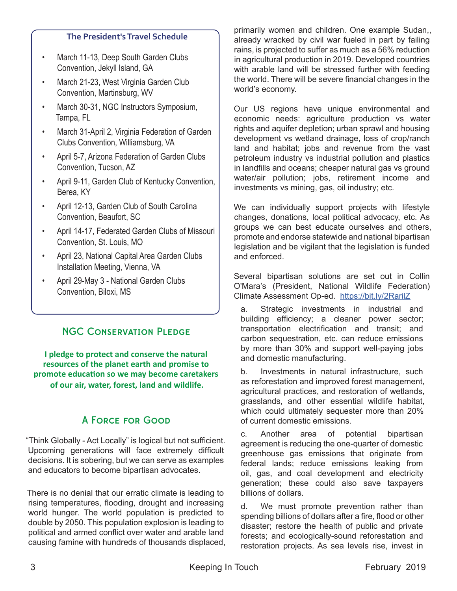### **The President's Travel Schedule**

- March 11-13, Deep South Garden Clubs Convention, Jekyll Island, GA
- March 21-23, West Virginia Garden Club Convention, Martinsburg, WV
- March 30-31, NGC Instructors Symposium, Tampa, FL
- March 31-April 2, Virginia Federation of Garden Clubs Convention, Williamsburg, VA
- April 5-7, Arizona Federation of Garden Clubs Convention, Tucson, AZ
- April 9-11, Garden Club of Kentucky Convention, Berea, KY
- April 12-13, Garden Club of South Carolina Convention, Beaufort, SC
- April 14-17, Federated Garden Clubs of Missouri Convention, St. Louis, MO
- April 23, National Capital Area Garden Clubs Installation Meeting, Vienna, VA
- April 29-May 3 National Garden Clubs Convention, Biloxi, MS

### NGC Conservation Pledge

**I pledge to protect and conserve the natural resources of the planet earth and promise to promote education so we may become caretakers of our air, water, forest, land and wildlife.**

### A Force for Good

"Think Globally - Act Locally" is logical but not sufficient. Upcoming generations will face extremely difficult decisions. It is sobering, but we can serve as examples and educators to become bipartisan advocates.

There is no denial that our erratic climate is leading to rising temperatures, flooding, drought and increasing world hunger. The world population is predicted to double by 2050. This population explosion is leading to political and armed conflict over water and arable land causing famine with hundreds of thousands displaced,

primarily women and children. One example Sudan,, already wracked by civil war fueled in part by failing rains, is projected to suffer as much as a 56% reduction in agricultural production in 2019. Developed countries with arable land will be stressed further with feeding the world. There will be severe financial changes in the world's economy.

Our US regions have unique environmental and economic needs: agriculture production vs water rights and aquifer depletion; urban sprawl and housing development vs wetland drainage, loss of crop/ranch land and habitat; jobs and revenue from the vast petroleum industry vs industrial pollution and plastics in landfills and oceans; cheaper natural gas vs ground water/air pollution; jobs, retirement income and investments vs mining, gas, oil industry; etc.

We can individually support projects with lifestyle changes, donations, local political advocacy, etc. As groups we can best educate ourselves and others, promote and endorse statewide and national bipartisan legislation and be vigilant that the legislation is funded and enforced.

Several bipartisan solutions are set out in Collin O'Mara's (President, National Wildlife Federation) Climate Assessment Op-ed. <https://bit.ly/2RarilZ>

a. Strategic investments in industrial and building efficiency; a cleaner power sector; transportation electrification and transit; and carbon sequestration, etc. can reduce emissions by more than 30% and support well-paying jobs and domestic manufacturing.

b. Investments in natural infrastructure, such as reforestation and improved forest management, agricultural practices, and restoration of wetlands, grasslands, and other essential wildlife habitat, which could ultimately sequester more than 20% of current domestic emissions.

c. Another area of potential bipartisan agreement is reducing the one-quarter of domestic greenhouse gas emissions that originate from federal lands; reduce emissions leaking from oil, gas, and coal development and electricity generation; these could also save taxpayers billions of dollars.

d. We must promote prevention rather than spending billions of dollars after a fire, flood or other disaster; restore the health of public and private forests; and ecologically-sound reforestation and restoration projects. As sea levels rise, invest in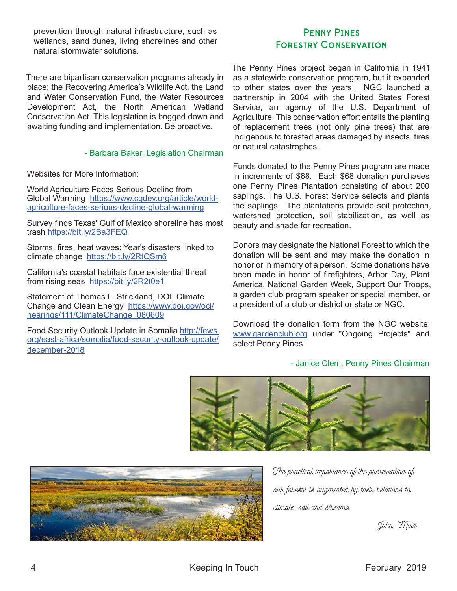prevention through natural infrastructure, such as wetlands, sand dunes, living shorelines and other natural stormwater solutions.

There are bipartisan conservation programs already in place: the Recovering America's Wildlife Act, the Land and Water Conservation Fund, the Water Resources Development Act, the North American Wetland Conservation Act. This legislation is bogged down and awaiting funding and implementation. Be proactive.

### - Barbara Baker, Legislation Chairman

Websites for More Information:

World Agriculture Faces Serious Decline from Global Warming [https://www.cgdev.org/article/world](https://www.cgdev.org/article/world-agriculture-faces-serious-decline-global-warming)[agriculture-faces-serious-decline-global-warming](https://www.cgdev.org/article/world-agriculture-faces-serious-decline-global-warming)

Survey finds Texas' Gulf of Mexico shoreline has most trash <https://bit.ly/2Ba3FEQ>

Storms, fires, heat waves: Year's disasters linked to climate change https://bit.ly/2RtQSm6

California's coastal habitats face existential threat from rising seas https://bit.ly/2R2t0e1

Statement of Thomas L. Strickland, DOI, Climate Change and Clean Energy https://www.doi.gov/ocl/ hearings/111/ClimateChange\_080609

Food Security Outlook Update in Somalia [http://fews.](http://fews.org/east-africa/somalia/food-security-outlook-update/december-2018 ) [org/east-africa/somalia/food-security-outlook-update/](http://fews.org/east-africa/somalia/food-security-outlook-update/december-2018 ) [december-2018](http://fews.org/east-africa/somalia/food-security-outlook-update/december-2018 )

### Penny Pines Forestry Conservation

The Penny Pines project began in California in 1941 as a statewide conservation program, but it expanded to other states over the years. NGC launched a partnership in 2004 with the United States Forest Service, an agency of the U.S. Department of Agriculture. This conservation effort entails the planting of replacement trees (not only pine trees) that are indigenous to forested areas damaged by insects, fires or natural catastrophes.

Funds donated to the Penny Pines program are made in increments of \$68. Each \$68 donation purchases one Penny Pines Plantation consisting of about 200 saplings. The U.S. Forest Service selects and plants the saplings. The plantations provide soil protection, watershed protection, soil stabilization, as well as beauty and shade for recreation.

Donors may designate the National Forest to which the donation will be sent and may make the donation in honor or in memory of a person. Some donations have been made in honor of firefighters, Arbor Day, Plant America, National Garden Week, Support Our Troops, a garden club program speaker or special member, or a president of a club or district or state or NGC.

Download the donation form from the NGC website: [www.gardenclub.org](http://www.gardenclub.org) under "Ongoing Projects" and select Penny Pines.

### - Janice Clem, Penny Pines Chairman





*The practical importance of the preservation of our forests is augmented by their relations to climate, soil and streams.*

*John Muir*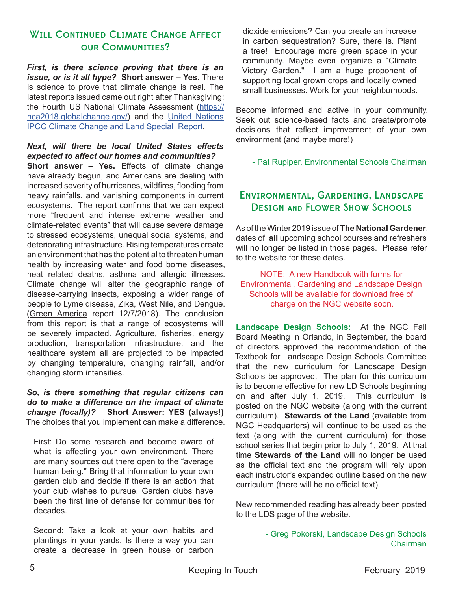### WILL CONTINUED CLIMATE CHANGE AFFECT our Communities?

*First, is there science proving that there is an issue, or is it all hype?* **Short answer – Yes.** There is science to prove that climate change is real. The latest reports issued came out right after Thanksgiving: the Fourth US National Climate Assessment ([https://](https://nca2018.globalchange.gov/) [nca2018.globalchange.gov/](https://nca2018.globalchange.gov/)) and the [United Nations](https://www.ipcc.ch/report/srccl/)  [IPCC Climate Change and Land Special Report.](https://www.ipcc.ch/report/srccl/)

### *Next, will there be local United States effects expected to affect our homes and communities?*

**Short answer – Yes.** Effects of climate change have already begun, and Americans are dealing with increased severity of hurricanes, wildfires, flooding from heavy rainfalls, and vanishing components in current ecosystems. The report confirms that we can expect more "frequent and intense extreme weather and climate-related events" that will cause severe damage to stressed ecosystems, unequal social systems, and deteriorating infrastructure. Rising temperatures create an environment that has the potential to threaten human health by increasing water and food borne diseases, heat related deaths, asthma and allergic illnesses. Climate change will alter the geographic range of disease-carrying insects, exposing a wider range of people to Lyme disease, Zika, West Nile, and Dengue. (Green America report 12/7/2018). The conclusion from this report is that a range of ecosystems will be severely impacted. Agriculture, fisheries, energy production, transportation infrastructure, and the healthcare system all are projected to be impacted by changing temperature, changing rainfall, and/or changing storm intensities.

### *So, is there something that regular citizens can do to make a difference on the impact of climate change (locally)?* **Short Answer: YES (always!)** The choices that you implement can make a difference.

First: Do some research and become aware of what is affecting your own environment. There are many sources out there open to the "average human being." Bring that information to your own garden club and decide if there is an action that your club wishes to pursue. Garden clubs have been the first line of defense for communities for decades.

Second: Take a look at your own habits and plantings in your yards. Is there a way you can create a decrease in green house or carbon dioxide emissions? Can you create an increase in carbon sequestration? Sure, there is. Plant a tree! Encourage more green space in your community. Maybe even organize a "Climate Victory Garden." I am a huge proponent of supporting local grown crops and locally owned small businesses. Work for your neighborhoods.

Become informed and active in your community. Seek out science-based facts and create/promote decisions that reflect improvement of your own environment (and maybe more!)

- Pat Rupiper, Environmental Schools Chairman

### Environmental, Gardening, Landscape Design and Flower Show Schools

As of the Winter 2019 issue of **The National Gardener**, dates of **all** upcoming school courses and refreshers will no longer be listed in those pages. Please refer to the website for these dates.

NOTE: A new Handbook with forms for Environmental, Gardening and Landscape Design Schools will be available for download free of charge on the NGC website soon.

**Landscape Design Schools:** At the NGC Fall Board Meeting in Orlando, in September, the board of directors approved the recommendation of the Textbook for Landscape Design Schools Committee that the new curriculum for Landscape Design Schools be approved. The plan for this curriculum is to become effective for new LD Schools beginning on and after July 1, 2019. This curriculum is posted on the NGC website (along with the current curriculum). **Stewards of the Land** (available from NGC Headquarters) will continue to be used as the text (along with the current curriculum) for those school series that begin prior to July 1, 2019. At that time **Stewards of the Land** will no longer be used as the official text and the program will rely upon each instructor's expanded outline based on the new curriculum (there will be no official text).

New recommended reading has already been posted to the LDS page of the website.

> - Greg Pokorski, Landscape Design Schools Chairman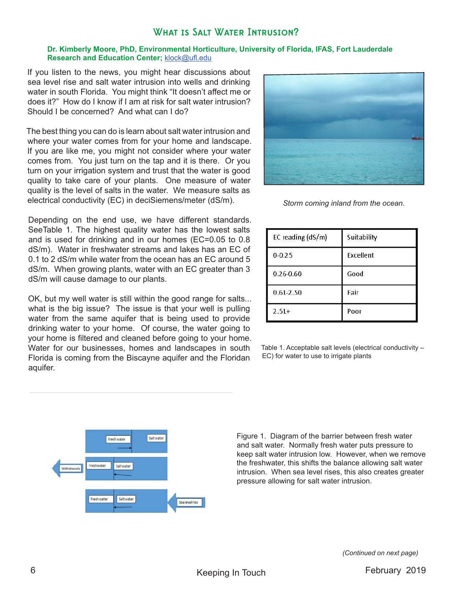### **Dr. Kimberly Moore, PhD, Environmental Horticulture, University of Florida, IFAS, Fort Lauderdale Research and Education Center;** [klock@ufl.edu](mailto:klock%40ufl.edu?subject=)

If you listen to the news, you might hear discussions about sea level rise and salt water intrusion into wells and drinking water in south Florida. You might think "It doesn't affect me or does it?" How do I know if I am at risk for salt water intrusion? Should I be concerned? And what can I do?

The best thing you can do is learn about salt water intrusion and where your water comes from for your home and landscape. If you are like me, you might not consider where your water comes from. You just turn on the tap and it is there. Or you turn on your irrigation system and trust that the water is good quality to take care of your plants. One measure of water quality is the level of salts in the water. We measure salts as electrical conductivity (EC) in deciSiemens/meter (dS/m).

Depending on the end use, we have different standards. SeeTable 1. The highest quality water has the lowest salts and is used for drinking and in our homes (EC=0.05 to 0.8 dS/m). Water in freshwater streams and lakes has an EC of 0.1 to 2 dS/m while water from the ocean has an EC around 5 dS/m. When growing plants, water with an EC greater than 3 dS/m will cause damage to our plants.

OK, but my well water is still within the good range for salts... what is the big issue? The issue is that your well is pulling water from the same aquifer that is being used to provide drinking water to your home. Of course, the water going to your home is filtered and cleaned before going to your home. Water for our businesses, homes and landscapes in south Florida is coming from the Biscayne aquifer and the Floridan aquifer.



*Storm coming inland from the ocean.*

| EC reading (dS/m) | Suitability |
|-------------------|-------------|
| $0 - 0.25$        | Excellent   |
| 0.26-0.60         | Good        |
| $0.61 - 2.50$     | Fair        |
| $2.51+$           | Poor        |

Table 1. Acceptable salt levels (electrical conductivity – EC) for water to use to irrigate plants



Figure 1. Diagram of the barrier between fresh water and salt water. Normally fresh water puts pressure to keep salt water intrusion low. However, when we remove the freshwater, this shifts the balance allowing salt water intrusion. When sea level rises, this also creates greater pressure allowing for salt water intrusion.

*(Continued on next page)*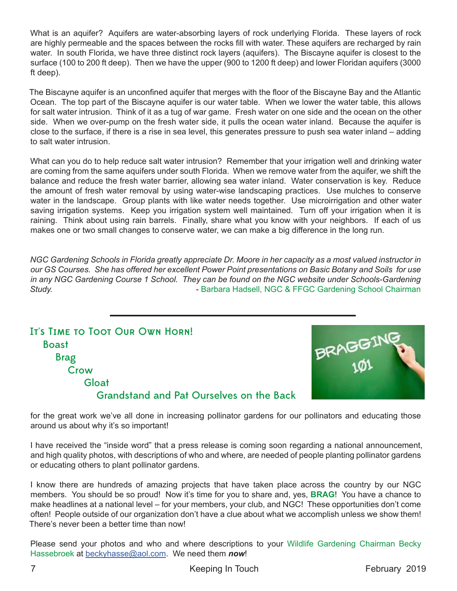What is an aquifer? Aquifers are water-absorbing layers of rock underlying Florida. These layers of rock are highly permeable and the spaces between the rocks fill with water. These aquifers are recharged by rain water. In south Florida, we have three distinct rock layers (aquifers). The Biscayne aquifer is closest to the surface (100 to 200 ft deep). Then we have the upper (900 to 1200 ft deep) and lower Floridan aquifers (3000 ft deep).

The Biscayne aquifer is an unconfined aquifer that merges with the floor of the Biscayne Bay and the Atlantic Ocean. The top part of the Biscayne aquifer is our water table. When we lower the water table, this allows for salt water intrusion. Think of it as a tug of war game. Fresh water on one side and the ocean on the other side. When we over-pump on the fresh water side, it pulls the ocean water inland. Because the aquifer is close to the surface, if there is a rise in sea level, this generates pressure to push sea water inland – adding to salt water intrusion.

What can you do to help reduce salt water intrusion? Remember that your irrigation well and drinking water are coming from the same aquifers under south Florida. When we remove water from the aquifer, we shift the balance and reduce the fresh water barrier, allowing sea water inland. Water conservation is key. Reduce the amount of fresh water removal by using water-wise landscaping practices. Use mulches to conserve water in the landscape. Group plants with like water needs together. Use microirrigation and other water saving irrigation systems. Keep you irrigation system well maintained. Turn off your irrigation when it is raining. Think about using rain barrels. Finally, share what you know with your neighbors. If each of us makes one or two small changes to conserve water, we can make a big difference in the long run.

*NGC Gardening Schools in Florida greatly appreciate Dr. Moore in her capacity as a most valued instructor in our GS Courses. She has offered her excellent Power Point presentations on Basic Botany and Soils for use in any NGC Gardening Course 1 School. They can be found on the NGC website under Schools-Gardening Study.* - Barbara Hadsell, NGC & FFGC Gardening School Chairman



for the great work we've all done in increasing pollinator gardens for our pollinators and educating those around us about why it's so important!

I have received the "inside word" that a press release is coming soon regarding a national announcement, and high quality photos, with descriptions of who and where, are needed of people planting pollinator gardens or educating others to plant pollinator gardens.

I know there are hundreds of amazing projects that have taken place across the country by our NGC members. You should be so proud! Now it's time for you to share and, yes, **BRAG**! You have a chance to make headlines at a national level – for your members, your club, and NGC! These opportunities don't come often! People outside of our organization don't have a clue about what we accomplish unless we show them! There's never been a better time than now!

Please send your photos and who and where descriptions to your Wildlife Gardening Chairman Becky Hassebroek at [beckyhasse@aol.com](mailto:beckyhasse%40aol.com?subject=). We need them *now*!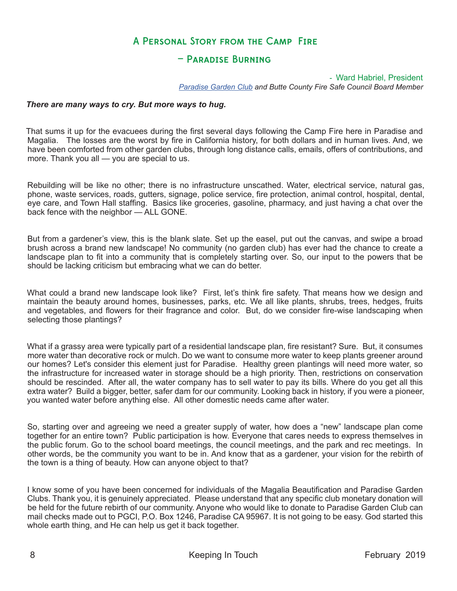### A Personal Story from the Camp Fire

### — Paradise Burning

 *-* Ward Habriel, President *[Paradise Garden Club](http://paradisegardenclub.org/) and Butte County Fire Safe Council Board Member*

### *There are many ways to cry. But more ways to hug.*

That sums it up for the evacuees during the first several days following the Camp Fire here in Paradise and Magalia. The losses are the worst by fire in California history, for both dollars and in human lives. And, we have been comforted from other garden clubs, through long distance calls, emails, offers of contributions, and more. Thank you all — you are special to us.

Rebuilding will be like no other; there is no infrastructure unscathed. Water, electrical service, natural gas, phone, waste services, roads, gutters, signage, police service, fire protection, animal control, hospital, dental, eye care, and Town Hall staffing. Basics like groceries, gasoline, pharmacy, and just having a chat over the back fence with the neighbor — ALL GONE.

But from a gardener's view, this is the blank slate. Set up the easel, put out the canvas, and swipe a broad brush across a brand new landscape! No community (no garden club) has ever had the chance to create a landscape plan to fit into a community that is completely starting over. So, our input to the powers that be should be lacking criticism but embracing what we can do better.

What could a brand new landscape look like? First, let's think fire safety. That means how we design and maintain the beauty around homes, businesses, parks, etc. We all like plants, shrubs, trees, hedges, fruits and vegetables, and flowers for their fragrance and color. But, do we consider fire-wise landscaping when selecting those plantings?

What if a grassy area were typically part of a residential landscape plan, fire resistant? Sure. But, it consumes more water than decorative rock or mulch. Do we want to consume more water to keep plants greener around our homes? Let's consider this element just for Paradise. Healthy green plantings will need more water, so the infrastructure for increased water in storage should be a high priority. Then, restrictions on conservation should be rescinded. After all, the water company has to sell water to pay its bills. Where do you get all this extra water? Build a bigger, better, safer dam for our community. Looking back in history, if you were a pioneer, you wanted water before anything else. All other domestic needs came after water.

So, starting over and agreeing we need a greater supply of water, how does a "new" landscape plan come together for an entire town? Public participation is how. Everyone that cares needs to express themselves in the public forum. Go to the school board meetings, the council meetings, and the park and rec meetings. In other words, be the community you want to be in. And know that as a gardener, your vision for the rebirth of the town is a thing of beauty. How can anyone object to that?

I know some of you have been concerned for individuals of the Magalia Beautification and Paradise Garden Clubs. Thank you, it is genuinely appreciated. Please understand that any specific club monetary donation will be held for the future rebirth of our community. Anyone who would like to donate to Paradise Garden Club can mail checks made out to PGCI, P.O. Box 1246, Paradise CA 95967. It is not going to be easy. God started this whole earth thing, and He can help us get it back together.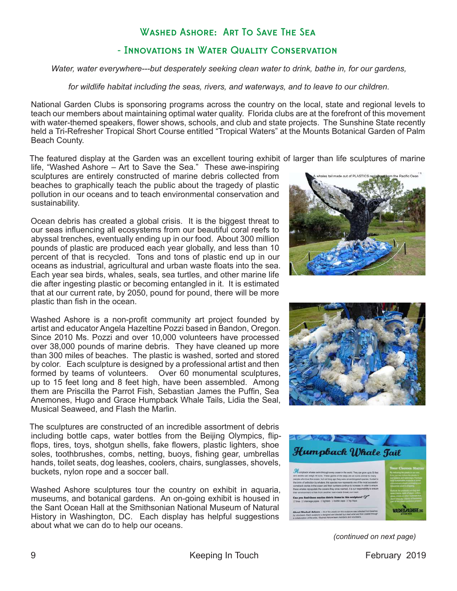### Washed Ashore: Art To Save The Sea

### - Innovations in Water Quality Conservation

### *Water, water everywhere---but desperately seeking clean water to drink, bathe in, for our gardens,*

*for wildlife habitat including the seas, rivers, and waterways, and to leave to our children.* 

National Garden Clubs is sponsoring programs across the country on the local, state and regional levels to teach our members about maintaining optimal water quality. Florida clubs are at the forefront of this movement with water-themed speakers, flower shows, schools, and club and state projects. The Sunshine State recently held a Tri-Refresher Tropical Short Course entitled "Tropical Waters" at the Mounts Botanical Garden of Palm Beach County.

The featured display at the Garden was an excellent touring exhibit of larger than life sculptures of marine

life, "Washed Ashore – Art to Save the Sea." These awe-inspiring sculptures are entirely constructed of marine debris collected from beaches to graphically teach the public about the tragedy of plastic pollution in our oceans and to teach environmental conservation and sustainability.

Ocean debris has created a global crisis. It is the biggest threat to our seas influencing all ecosystems from our beautiful coral reefs to abyssal trenches, eventually ending up in our food. About 300 million pounds of plastic are produced each year globally, and less than 10 percent of that is recycled. Tons and tons of plastic end up in our oceans as industrial, agricultural and urban waste floats into the sea. Each year sea birds, whales, seals, sea turtles, and other marine life die after ingesting plastic or becoming entangled in it. It is estimated that at our current rate, by 2050, pound for pound, there will be more plastic than fish in the ocean.

Washed Ashore is a non-profit community art project founded by artist and educator Angela Hazeltine Pozzi based in Bandon, Oregon. Since 2010 Ms. Pozzi and over 10,000 volunteers have processed over 38,000 pounds of marine debris. They have cleaned up more than 300 miles of beaches. The plastic is washed, sorted and stored by color. Each sculpture is designed by a professional artist and then formed by teams of volunteers. Over 60 monumental sculptures, up to 15 feet long and 8 feet high, have been assembled. Among them are Priscilla the Parrot Fish, Sebastian James the Puffin, Sea Anemones, Hugo and Grace Humpback Whale Tails, Lidia the Seal, Musical Seaweed, and Flash the Marlin.

The sculptures are constructed of an incredible assortment of debris including bottle caps, water bottles from the Beijing Olympics, flipflops, tires, toys, shotgun shells, fake flowers, plastic lighters, shoe soles, toothbrushes, combs, netting, buoys, fishing gear, umbrellas hands, toilet seats, dog leashes, coolers, chairs, sunglasses, shovels, buckets, nylon rope and a soccer ball.

Washed Ashore sculptures tour the country on exhibit in aquaria, museums, and botanical gardens. An on-going exhibit is housed in the Sant Ocean Hall at the Smithsonian National Museum of Natural History in Washington, DC. Each display has helpful suggestions about what we can do to help our oceans.







 *(continued on next page)*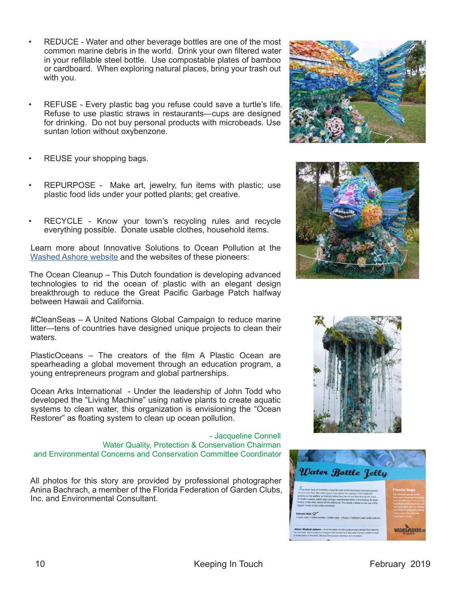- REDUCE Water and other beverage bottles are one of the most common marine debris in the world. Drink your own filtered water in your refillable steel bottle. Use compostable plates of bamboo or cardboard. When exploring natural places, bring your trash out with you.
- REFUSE Every plastic bag you refuse could save a turtle's life. Refuse to use plastic straws in restaurants—cups are designed for drinking. Do not buy personal products with microbeads. Use suntan lotion without oxybenzone.
- REUSE your shopping bags.
- REPURPOSE Make art, jewelry, fun items with plastic; use plastic food lids under your potted plants; get creative.
- RECYCLE Know your town's recycling rules and recycle everything possible. Donate usable clothes, household items.

Learn more about Innovative Solutions to Ocean Pollution at the [Washed Ashore website](http://washedashore.org/) and the websites of these pioneers:

The Ocean Cleanup – This Dutch foundation is developing advanced technologies to rid the ocean of plastic with an elegant design breakthrough to reduce the Great Pacific Garbage Patch halfway between Hawaii and California.

#CleanSeas – A United Nations Global Campaign to reduce marine litter—tens of countries have designed unique projects to clean their waters.

PlasticOceans – The creators of the film A Plastic Ocean are spearheading a global movement through an education program, a young entrepreneurs program and global partnerships.

Ocean Arks International - Under the leadership of John Todd who developed the "Living Machine" using native plants to create aquatic systems to clean water, this organization is envisioning the "Ocean Restorer" as floating system to clean up ocean pollution.

- Jacqueline Connell Water Quality, Protection & Conservation Chairman and Environmental Concerns and Conservation Committee Coordinator

All photos for this story are provided by professional photographer Anina Bachrach, a member of the Florida Federation of Garden Clubs, Inc. and Environmental Consultant.







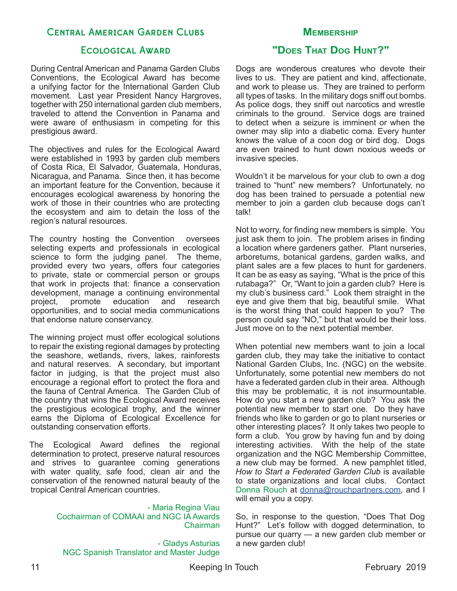### Central American Garden Clubs

### Ecological Award

During Central American and Panama Garden Clubs Conventions, the Ecological Award has become a unifying factor for the International Garden Club movement. Last year President Nancy Hargroves, together with 250 international garden club members, traveled to attend the Convention in Panama and were aware of enthusiasm in competing for this prestigious award.

The objectives and rules for the Ecological Award were established in 1993 by garden club members of Costa Rica, El Salvador, Guatemala, Honduras, Nicaragua, and Panama. Since then, it has become an important feature for the Convention, because it encourages ecological awareness by honoring the work of those in their countries who are protecting the ecosystem and aim to detain the loss of the region's natural resources.

The country hosting the Convention oversees selecting experts and professionals in ecological science to form the judging panel. The theme, provided every two years, offers four categories to private, state or commercial person or groups that work in projects that: finance a conservation development, manage a continuing environmental project, promote education and research opportunities, and to social media communications that endorse nature conservancy.

The winning project must offer ecological solutions to repair the existing regional damages by protecting the seashore, wetlands, rivers, lakes, rainforests and natural reserves. A secondary, but important factor in judging, is that the project must also encourage a regional effort to protect the flora and the fauna of Central America. The Garden Club of the country that wins the Ecological Award receives the prestigious ecological trophy, and the winner earns the Diploma of Ecological Excellence for outstanding conservation efforts.

The Ecological Award defines the regional determination to protect, preserve natural resources and strives to guarantee coming generations with water quality, safe food, clean air and the conservation of the renowned natural beauty of the tropical Central American countries.

> - Maria Regina Viau Cochairman of COMAAI and NGC IA Awards Chairman

- Gladys Asturias NGC Spanish Translator and Master Judge

### **MEMBERSHIP**

### **"Does That Dog Hunt?"**

Dogs are wonderous creatures who devote their lives to us. They are patient and kind, affectionate, and work to please us. They are trained to perform all types of tasks. In the military dogs sniff out bombs. As police dogs, they sniff out narcotics and wrestle criminals to the ground. Service dogs are trained to detect when a seizure is imminent or when the owner may slip into a diabetic coma. Every hunter knows the value of a coon dog or bird dog. Dogs are even trained to hunt down noxious weeds or invasive species.

Wouldn't it be marvelous for your club to own a dog trained to "hunt" new members? Unfortunately, no dog has been trained to persuade a potential new member to join a garden club because dogs can't talk!

Not to worry, for finding new members is simple. You just ask them to join. The problem arises in finding a location where gardeners gather. Plant nurseries, arboretums, botanical gardens, garden walks, and plant sales are a few places to hunt for gardeners. It can be as easy as saying, "What is the price of this rutabaga?" Or, "Want to join a garden club? Here is my club's business card." Look them straight in the eye and give them that big, beautiful smile. What is the worst thing that could happen to you? The person could say "NO," but that would be their loss. Just move on to the next potential member.

When potential new members want to join a local garden club, they may take the initiative to contact National Garden Clubs, Inc. (NGC) on the website. Unfortunately, some potential new members do not have a federated garden club in their area. Although this may be problematic, it is not insurmountable. How do you start a new garden club? You ask the potential new member to start one. Do they have friends who like to garden or go to plant nurseries or other interesting places? It only takes two people to form a club. You grow by having fun and by doing interesting activities. With the help of the state organization and the NGC Membership Committee, a new club may be formed. A new pamphlet titled, *How to Start a Federated Garden Club* is available to state organizations and local clubs. Contact Donna Rouch at [donna@rouchpartners.com,](mailto:donna%40rouchpartners.com?subject=) and I will email you a copy.

So, in response to the question, "Does That Dog Hunt?" Let's follow with dogged determination, to pursue our quarry — a new garden club member or a new garden club!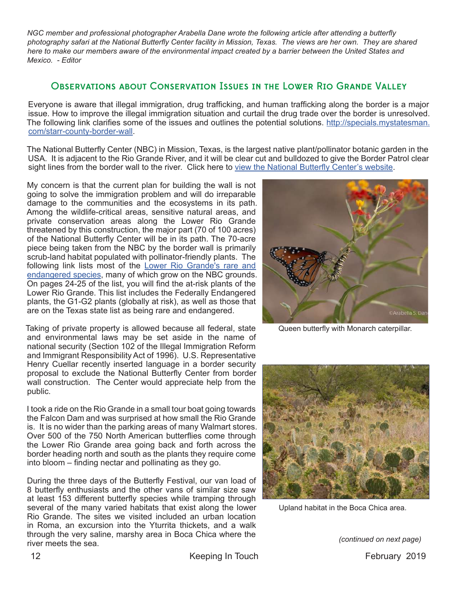*NGC member and professional photographer Arabella Dane wrote the following article after attending a butterfly photography safari at the National Butterfly Center facility in Mission, Texas. The views are her own. They are shared here to make our members aware of the environmental impact created by a barrier between the United States and Mexico. - Editor*

### Observations about Conservation Issues in the Lower Rio Grande Valley

Everyone is aware that illegal immigration, drug trafficking, and human trafficking along the border is a major issue. How to improve the illegal immigration situation and curtail the drug trade over the border is unresolved. The following link clarifies some of the issues and outlines the potential solutions. [http://specials.mystatesman.](http://specials.mystatesman.com/starr-county-border-wall) [com/starr-county-border-wall](http://specials.mystatesman.com/starr-county-border-wall).

The National Butterfly Center (NBC) in Mission, Texas, is the largest native plant/pollinator botanic garden in the USA. It is adjacent to the Rio Grande River, and it will be clear cut and bulldozed to give the Border Patrol clear sight lines from the border wall to the river. Click here to [view the National Butterfly Center's website](https://www.nationalbutterflycenter.org/).

My concern is that the current plan for building the wall is not going to solve the immigration problem and will do irreparable damage to the communities and the ecosystems in its path. Among the wildlife-critical areas, sensitive natural areas, and private conservation areas along the Lower Rio Grande threatened by this construction, the major part (70 of 100 acres) of the National Butterfly Center will be in its path. The 70-acre piece being taken from the NBC by the border wall is primarily scrub-land habitat populated with pollinator-friendly plants. The following link lists most of the [Lower Rio Grande's rare and](https://pubs.usgs.gov/sir/2016/5078/sir20165078.pdf)  [endangered species](https://pubs.usgs.gov/sir/2016/5078/sir20165078.pdf), many of which grow on the NBC grounds. On pages 24-25 of the list, you will find the at-risk plants of the Lower Rio Grande. This list includes the Federally Endangered plants, the G1-G2 plants (globally at risk), as well as those that are on the Texas state list as being rare and endangered.

Taking of private property is allowed because all federal, state and environmental laws may be set aside in the name of national security (Section 102 of the Illegal Immigration Reform and Immigrant Responsibility Act of 1996). U.S. Representative Henry Cuellar recently inserted language in a border security proposal to exclude the National Butterfly Center from border wall construction. The Center would appreciate help from the public.

I took a ride on the Rio Grande in a small tour boat going towards the Falcon Dam and was surprised at how small the Rio Grande is. It is no wider than the parking areas of many Walmart stores. Over 500 of the 750 North American butterflies come through the Lower Rio Grande area going back and forth across the border heading north and south as the plants they require come into bloom – finding nectar and pollinating as they go.

During the three days of the Butterfly Festival, our van load of 8 butterfly enthusiasts and the other vans of similar size saw at least 153 different butterfly species while tramping through several of the many varied habitats that exist along the lower Rio Grande. The sites we visited included an urban location in Roma, an excursion into the Yturrita thickets, and a walk through the very saline, marshy area in Boca Chica where the river meets the sea.



Queen butterfly with Monarch caterpillar.



Upland habitat in the Boca Chica area.

 *(continued on next page)*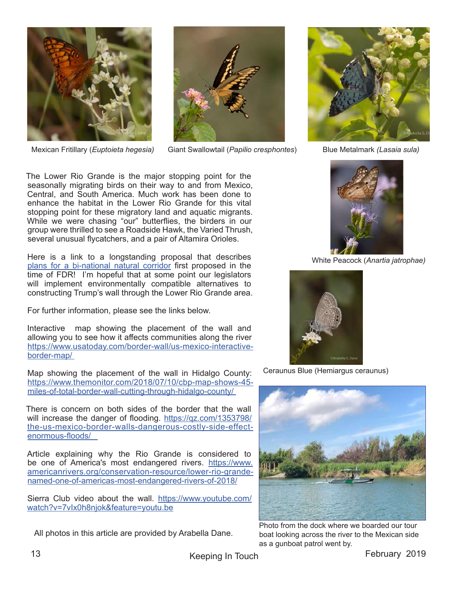



Mexican Fritillary (*Euptoieta hegesia)* Giant Swallowtail (*Papilio cresphontes*) Blue Metalmark *(Lasaia sula)*

The Lower Rio Grande is the major stopping point for the seasonally migrating birds on their way to and from Mexico, Central, and South America. Much work has been done to enhance the habitat in the Lower Rio Grande for this vital stopping point for these migratory land and aquatic migrants. While we were chasing "our" butterflies, the birders in our group were thrilled to see a Roadside Hawk, the Varied Thrush, several unusual flycatchers, and a pair of Altamira Orioles.

Here is a link to a longstanding proposal that describes [plans for a bi-national natural corridor](https://theconversation.com/heres-a-better-vision-for-the-us-mexico-border-make-the-rio-grande-grand-again-73111) first proposed in the time of FDR! I'm hopeful that at some point our legislators will implement environmentally compatible alternatives to constructing Trump's wall through the Lower Rio Grande area.

For further information, please see the links below.

Interactive map showing the placement of the wall and allowing you to see how it affects communities along the river [https://www.usatoday.com/border-wall/us-mexico-interactive](https://www.usatoday.com/border-wall/us-mexico-interactive-border-map/  )[border-map/](https://www.usatoday.com/border-wall/us-mexico-interactive-border-map/  ) 

Map showing the placement of the wall in Hidalgo County: [https://www.themonitor.com/2018/07/10/cbp-map-shows-45](https://www.themonitor.com/2018/07/10/cbp-map-shows-45-miles-of-total-border-wall-cutting-through-hi) [miles-of-total-border-wall-cutting-through-hidalgo-county/](https://www.themonitor.com/2018/07/10/cbp-map-shows-45-miles-of-total-border-wall-cutting-through-hi) 

There is concern on both sides of the border that the wall will increase the danger of flooding. [https://qz.com/1353798/](https://qz.com/1353798/the-us-mexico-border-walls-dangerous-costly-side-effect-enormous-floods/) [the-us-mexico-border-walls-dangerous-costly-side-effect](https://qz.com/1353798/the-us-mexico-border-walls-dangerous-costly-side-effect-enormous-floods/)[enormous-floods/](https://qz.com/1353798/the-us-mexico-border-walls-dangerous-costly-side-effect-enormous-floods/) 

Article explaining why the Rio Grande is considered to be one of America's most endangered rivers. [https://www.](https://www.americanrivers.org/conservation-resource/lower-rio-grande-named-one-of-americas-most-end) [americanrivers.org/conservation-resource/lower-rio-grande](https://www.americanrivers.org/conservation-resource/lower-rio-grande-named-one-of-americas-most-end)[named-one-of-americas-most-endangered-rivers-of-2018/](https://www.americanrivers.org/conservation-resource/lower-rio-grande-named-one-of-americas-most-end)

Sierra Club video about the wall. [https://www.youtube.com/](https://www.youtube.com/watch?v=7vIx0h8njok&feature=youtu.be) [watch?v=7vIx0h8njok&feature=youtu.be](https://www.youtube.com/watch?v=7vIx0h8njok&feature=youtu.be)

All photos in this article are provided by Arabella Dane.





White Peacock (*Anartia jatrophae)*



Ceraunus Blue (Hemiargus ceraunus)



Photo from the dock where we boarded our tour boat looking across the river to the Mexican side as a gunboat patrol went by.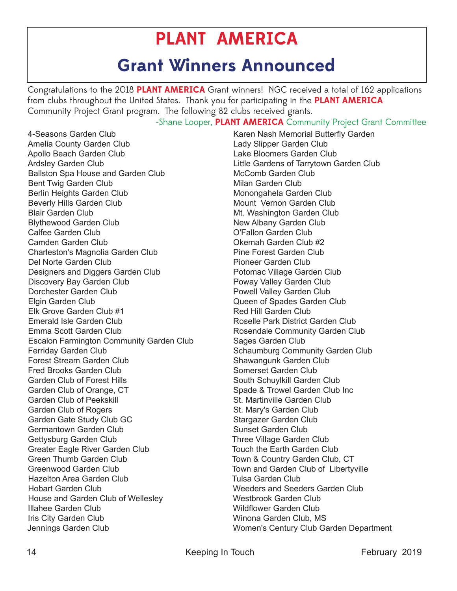### **PLANT AMERICA**

### **Grant Winners Announced**

Congratulations to the 2018 **PLANT AMERICA** Grant winners! NGC received a total of 162 applications from clubs throughout the United States. Thank you for participating in the **PLANT AMERICA** Community Project Grant program. The following 82 clubs received grants.

### -Shane Looper, **PLANT AMERICA** Community Project Grant Committee

4-Seasons Garden Club Amelia County Garden Club Apollo Beach Garden Club Ardsley Garden Club Ballston Spa House and Garden Club Bent Twig Garden Club Berlin Heights Garden Club Beverly Hills Garden Club Blair Garden Club Blythewood Garden Club Calfee Garden Club Camden Garden Club Charleston's Magnolia Garden Club Del Norte Garden Club Designers and Diggers Garden Club Discovery Bay Garden Club Dorchester Garden Club Elgin Garden Club Elk Grove Garden Club #1 Emerald Isle Garden Club Emma Scott Garden Club Escalon Farmington Community Garden Club Ferriday Garden Club Forest Stream Garden Club Fred Brooks Garden Club Garden Club of Forest Hills Garden Club of Orange, CT Garden Club of Peekskill Garden Club of Rogers Garden Gate Study Club GC Germantown Garden Club Gettysburg Garden Club Greater Eagle River Garden Club Green Thumb Garden Club Greenwood Garden Club Hazelton Area Garden Club Hobart Garden Club House and Garden Club of Wellesley Illahee Garden Club Iris City Garden Club Jennings Garden Club

Karen Nash Memorial Butterfly Garden Lady Slipper Garden Club Lake Bloomers Garden Club Little Gardens of Tarrytown Garden Club McComb Garden Club Milan Garden Club Monongahela Garden Club Mount Vernon Garden Club Mt. Washington Garden Club New Albany Garden Club O'Fallon Garden Club Okemah Garden Club #2 Pine Forest Garden Club Pioneer Garden Club Potomac Village Garden Club Poway Valley Garden Club Powell Valley Garden Club Queen of Spades Garden Club Red Hill Garden Club Roselle Park District Garden Club Rosendale Community Garden Club Sages Garden Club Schaumburg Community Garden Club Shawangunk Garden Club Somerset Garden Club South Schuylkill Garden Club Spade & Trowel Garden Club Inc St. Martinville Garden Club St. Mary's Garden Club Stargazer Garden Club Sunset Garden Club Three Village Garden Club Touch the Earth Garden Club Town & Country Garden Club, CT Town and Garden Club of Libertyville Tulsa Garden Club Weeders and Seeders Garden Club Westbrook Garden Club Wildflower Garden Club Winona Garden Club, MS Women's Century Club Garden Department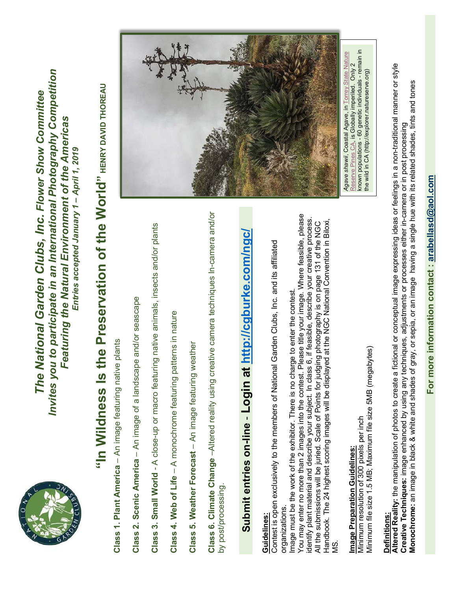

Invites you to participate in an International Photography Competition *Invites you to participate in an International Photography Competition* The National Garden Clubs, Inc. Flower Show Committee *The National Garden Clubs, Inc. Flower Show Committee* Featuring the Natural Environment of the Americas *Featuring the Natural Environment of the Americas* Entries accepted January 1 - April 1, 2019 *Entries accepted January 1 – April 1, 2019* 

# "In Wildness Is the Preservation of the World" HENRY DAVID THOREAU **"In Wildness Is the Preservation of the World" HENRY DAVID THOREAU**

Class 1. Plant America - An image featuring native plants **Class 1. Plant America** – An image featuring native plants Class 2. Scenic America - An image of a landscape and/or seascape **Class 2. Scenic America** – An image of a landscape and/or seascape Class 3. Small World - A close-up or macro featuring native animals, insects and/or plants **Class 3. Small World** - A close-up or macro featuring native animals, insects and/or plants

Class 4. Web of Life - A monochrome featuring patterns in nature **Class 4. Web of Life** – A monochrome featuring patterns in nature

Class 5. Weather Forecast - An image featuring weather **Class 5. Weather Forecast** – An image featuring weather Class 6. Climate Change-Altered reality using creative camera techniques In-camera and/or **Class 6. Climate Change** –Altered reality using creative camera techniques In-camera and/or by post/processing. by post/processing.

## Submit entries on-line - Login at http://cgburke.com/ngc/ **Submit entries on-line** - **Login at http://cgburke.com/ngc/**

### Guidelines: **Guidelines:**

Contest is open exclusively to the members of National Garden Clubs, Inc. and its affiliated Contest is open exclusively to the members of National Garden Clubs, Inc. and its affiliated organizations. organizations.

You may enter no more than 2 images into the contest. Please title your image. Where feasible, please You may enter no more than 2 images into the contest. Please title your image. Where feasible, please identify plant material and describe your subject. In class 6, if feasible, describe your creative process. Handbook. The 24 highest scoring images will be displayed at the NGC National Convention in Biloxi, identify plant material and describe your subject. In class 6, if feasible, describe your creative process. All the submissions will be juried. Scale of Points for judging photography is on page 131 of the NGC All the submissions will be juried. Scale of Points for judging photography is on page 131 of the NGC Handbook. The 24 highest scoring images will be displayed at the NGC National Convention in Biloxi, Image must be the work of the exhibitor. There is no charge to enter the contest. image must be the work of the exhibitor. There is no charge to enter the contest.

## **Image Preparation Guidelines: Image Preparation Guidelines:**

MS.

Minimum file size 1.5 MB; Maximum file size 5MB (megabytes) Minimum file size 1.5 MB; Maximum file size 5MB (megabytes) Minimum resolution of 300 pixels per inch Minimum resolution of 300 pixels per inch

the wild in CA (http://explorer.natureserve.org)

the wild in CA (http://explorer.natureserve.org)

**Definitions:**

Definitions:



Altered Reality: the manipulation of photos to create a fictional or conceptual image expressing ideas or feelings in a non-traditional manner or style **Altered Reality:** the manipulation of photos to create a fictional or conceptual image expressing ideas or feelings in a non-traditional manner or style Creative Techniques: image enhanced by using any techniques, adjustments or processes either in-camera or in post processing<br>Monochrome: an image in black & white and shades of gray, or sepia, or an image having a single h **Monochrome:** an image in black & white and shades of gray, or sepia, or an image having a single hue with its related shades, tints and tones **Creative Techniques:** image enhanced by using any techniques, adjustments or processes either in-camera or in post processing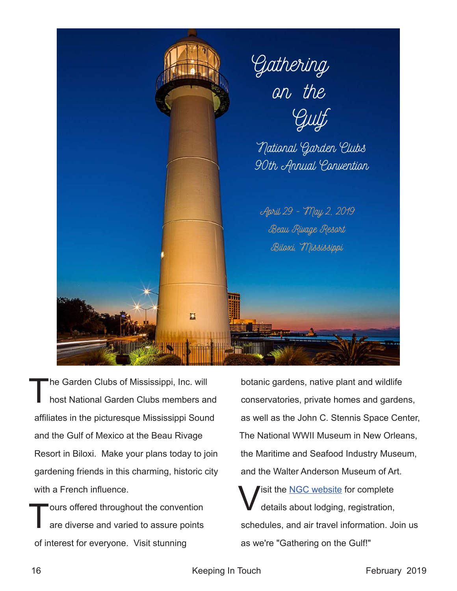

The Garden Clubs of Mississippi, Inc. will<br>host National Garden Clubs members are host National Garden Clubs members and affiliates in the picturesque Mississippi Sound and the Gulf of Mexico at the Beau Rivage Resort in Biloxi. Make your plans today to join gardening friends in this charming, historic city with a French influence.

Tours offered throughout the convention<br>are diverse and varied to assure points are diverse and varied to assure points of interest for everyone. Visit stunning

botanic gardens, native plant and wildlife conservatories, private homes and gardens, as well as the John C. Stennis Space Center, The National WWII Museum in New Orleans, the Maritime and Seafood Industry Museum, and the Walter Anderson Museum of Art.

Isit the **NGC** website for complete details about lodging, registration, schedules, and air travel information. Join us as we're "Gathering on the Gulf!"